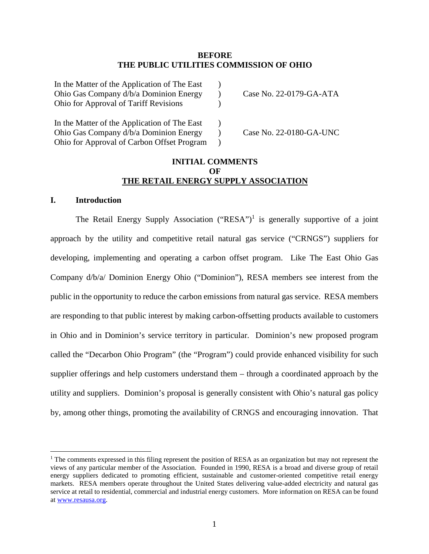### **BEFORE THE PUBLIC UTILITIES COMMISSION OF OHIO**

| In the Matter of the Application of The East |                         |
|----------------------------------------------|-------------------------|
| Ohio Gas Company d/b/a Dominion Energy       | Case No. 22-0179-GA-ATA |
| <b>Ohio for Approval of Tariff Revisions</b> |                         |
| In the Matter of the Application of The East |                         |
| Ohio Gas Company d/b/a Dominion Energy       | Case No. 22-0180-GA-UNC |
| Ohio for Approval of Carbon Offset Program   |                         |

### **INITIAL COMMENTS OF THE RETAIL ENERGY SUPPLY ASSOCIATION**

### **I. Introduction**

The Retail Energy Supply Association ("RESA")<sup>1</sup> is generally supportive of a joint approach by the utility and competitive retail natural gas service ("CRNGS") suppliers for developing, implementing and operating a carbon offset program. Like The East Ohio Gas Company d/b/a/ Dominion Energy Ohio ("Dominion"), RESA members see interest from the public in the opportunity to reduce the carbon emissions from natural gas service. RESA members are responding to that public interest by making carbon-offsetting products available to customers in Ohio and in Dominion's service territory in particular. Dominion's new proposed program called the "Decarbon Ohio Program" (the "Program") could provide enhanced visibility for such supplier offerings and help customers understand them – through a coordinated approach by the utility and suppliers. Dominion's proposal is generally consistent with Ohio's natural gas policy by, among other things, promoting the availability of CRNGS and encouraging innovation. That

<sup>&</sup>lt;sup>1</sup> The comments expressed in this filing represent the position of RESA as an organization but may not represent the views of any particular member of the Association. Founded in 1990, RESA is a broad and diverse group of retail energy suppliers dedicated to promoting efficient, sustainable and customer-oriented competitive retail energy markets. RESA members operate throughout the United States delivering value-added electricity and natural gas service at retail to residential, commercial and industrial energy customers. More information on RESA can be found at www.resausa.org.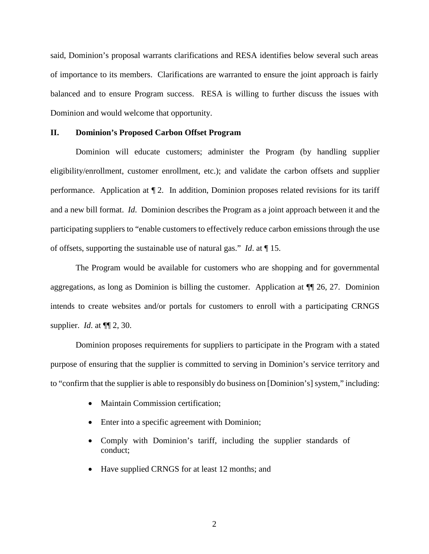said, Dominion's proposal warrants clarifications and RESA identifies below several such areas of importance to its members. Clarifications are warranted to ensure the joint approach is fairly balanced and to ensure Program success. RESA is willing to further discuss the issues with Dominion and would welcome that opportunity.

#### **II. Dominion's Proposed Carbon Offset Program**

Dominion will educate customers; administer the Program (by handling supplier eligibility/enrollment, customer enrollment, etc.); and validate the carbon offsets and supplier performance. Application at  $\P$  2. In addition, Dominion proposes related revisions for its tariff and a new bill format. *Id*. Dominion describes the Program as a joint approach between it and the participating suppliers to "enable customers to effectively reduce carbon emissions through the use of offsets, supporting the sustainable use of natural gas." *Id*. at ¶ 15.

The Program would be available for customers who are shopping and for governmental aggregations, as long as Dominion is billing the customer. Application at ¶¶ 26, 27. Dominion intends to create websites and/or portals for customers to enroll with a participating CRNGS supplier. *Id*. at ¶¶ 2, 30.

Dominion proposes requirements for suppliers to participate in the Program with a stated purpose of ensuring that the supplier is committed to serving in Dominion's service territory and to "confirm that the supplier is able to responsibly do business on [Dominion's] system," including:

- Maintain Commission certification;
- Enter into a specific agreement with Dominion;
- Comply with Dominion's tariff, including the supplier standards of conduct;
- Have supplied CRNGS for at least 12 months; and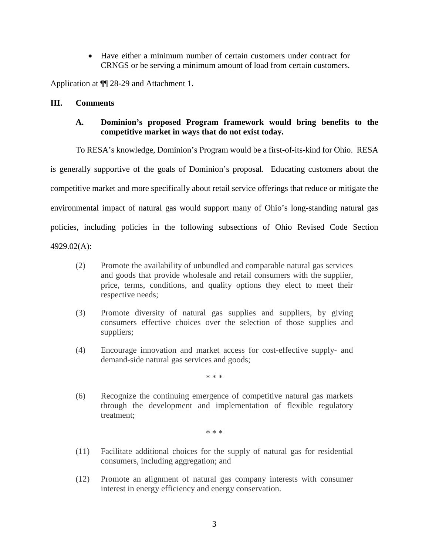Have either a minimum number of certain customers under contract for CRNGS or be serving a minimum amount of load from certain customers.

Application at ¶¶ 28-29 and Attachment 1.

### **III. Comments**

# **A. Dominion's proposed Program framework would bring benefits to the competitive market in ways that do not exist today.**

To RESA's knowledge, Dominion's Program would be a first-of-its-kind for Ohio. RESA

is generally supportive of the goals of Dominion's proposal. Educating customers about the

competitive market and more specifically about retail service offerings that reduce or mitigate the

environmental impact of natural gas would support many of Ohio's long-standing natural gas

policies, including policies in the following subsections of Ohio Revised Code Section

4929.02(A):

- (2) Promote the availability of unbundled and comparable natural gas services and goods that provide wholesale and retail consumers with the supplier, price, terms, conditions, and quality options they elect to meet their respective needs;
- (3) Promote diversity of natural gas supplies and suppliers, by giving consumers effective choices over the selection of those supplies and suppliers;
- (4) Encourage innovation and market access for cost-effective supply- and demand-side natural gas services and goods;

\* \* \*

(6) Recognize the continuing emergence of competitive natural gas markets through the development and implementation of flexible regulatory treatment;

\* \* \*

- (11) Facilitate additional choices for the supply of natural gas for residential consumers, including aggregation; and
- (12) Promote an alignment of natural gas company interests with consumer interest in energy efficiency and energy conservation.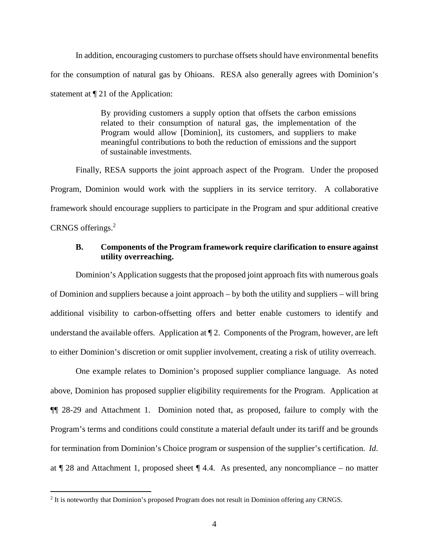In addition, encouraging customers to purchase offsets should have environmental benefits for the consumption of natural gas by Ohioans. RESA also generally agrees with Dominion's statement at ¶ 21 of the Application:

> By providing customers a supply option that offsets the carbon emissions related to their consumption of natural gas, the implementation of the Program would allow [Dominion], its customers, and suppliers to make meaningful contributions to both the reduction of emissions and the support of sustainable investments.

Finally, RESA supports the joint approach aspect of the Program. Under the proposed Program, Dominion would work with the suppliers in its service territory. A collaborative framework should encourage suppliers to participate in the Program and spur additional creative CRNGS offerings.<sup>2</sup>

## **B. Components of the Program framework require clarification to ensure against utility overreaching.**

Dominion's Application suggests that the proposed joint approach fits with numerous goals of Dominion and suppliers because a joint approach – by both the utility and suppliers – will bring additional visibility to carbon-offsetting offers and better enable customers to identify and understand the available offers. Application at ¶ 2. Components of the Program, however, are left to either Dominion's discretion or omit supplier involvement, creating a risk of utility overreach.

One example relates to Dominion's proposed supplier compliance language. As noted above, Dominion has proposed supplier eligibility requirements for the Program. Application at ¶¶ 28-29 and Attachment 1. Dominion noted that, as proposed, failure to comply with the Program's terms and conditions could constitute a material default under its tariff and be grounds for termination from Dominion's Choice program or suspension of the supplier's certification. *Id*. at  $\P$  28 and Attachment 1, proposed sheet  $\P$  4.4. As presented, any noncompliance – no matter

<sup>&</sup>lt;sup>2</sup> It is noteworthy that Dominion's proposed Program does not result in Dominion offering any CRNGS.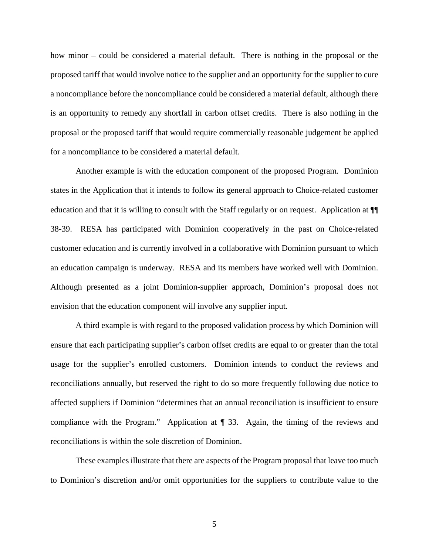how minor – could be considered a material default. There is nothing in the proposal or the proposed tariff that would involve notice to the supplier and an opportunity for the supplier to cure a noncompliance before the noncompliance could be considered a material default, although there is an opportunity to remedy any shortfall in carbon offset credits. There is also nothing in the proposal or the proposed tariff that would require commercially reasonable judgement be applied for a noncompliance to be considered a material default.

Another example is with the education component of the proposed Program. Dominion states in the Application that it intends to follow its general approach to Choice-related customer education and that it is willing to consult with the Staff regularly or on request. Application at ¶¶ 38-39. RESA has participated with Dominion cooperatively in the past on Choice-related customer education and is currently involved in a collaborative with Dominion pursuant to which an education campaign is underway. RESA and its members have worked well with Dominion. Although presented as a joint Dominion-supplier approach, Dominion's proposal does not envision that the education component will involve any supplier input.

A third example is with regard to the proposed validation process by which Dominion will ensure that each participating supplier's carbon offset credits are equal to or greater than the total usage for the supplier's enrolled customers. Dominion intends to conduct the reviews and reconciliations annually, but reserved the right to do so more frequently following due notice to affected suppliers if Dominion "determines that an annual reconciliation is insufficient to ensure compliance with the Program." Application at ¶ 33. Again, the timing of the reviews and reconciliations is within the sole discretion of Dominion.

These examples illustrate that there are aspects of the Program proposal that leave too much to Dominion's discretion and/or omit opportunities for the suppliers to contribute value to the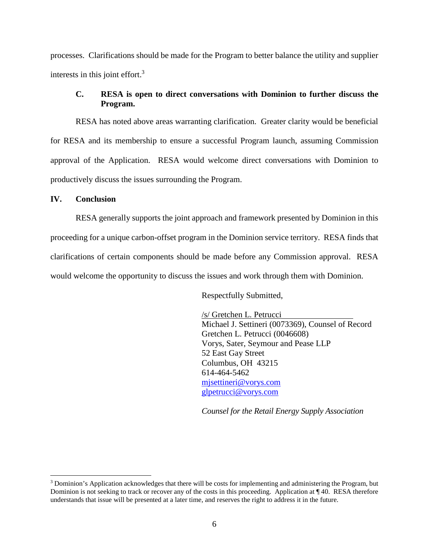processes. Clarifications should be made for the Program to better balance the utility and supplier interests in this joint effort.<sup>3</sup>

# **C. RESA is open to direct conversations with Dominion to further discuss the Program.**

RESA has noted above areas warranting clarification. Greater clarity would be beneficial for RESA and its membership to ensure a successful Program launch, assuming Commission approval of the Application. RESA would welcome direct conversations with Dominion to productively discuss the issues surrounding the Program.

### **IV. Conclusion**

RESA generally supports the joint approach and framework presented by Dominion in this proceeding for a unique carbon-offset program in the Dominion service territory. RESA finds that clarifications of certain components should be made before any Commission approval. RESA would welcome the opportunity to discuss the issues and work through them with Dominion.

Respectfully Submitted,

/s/ Gretchen L. Petrucci Michael J. Settineri (0073369), Counsel of Record Gretchen L. Petrucci (0046608) Vorys, Sater, Seymour and Pease LLP 52 East Gay Street Columbus, OH 43215 614-464-5462 mjsettineri@vorys.com glpetrucci@vorys.com

*Counsel for the Retail Energy Supply Association*

<sup>&</sup>lt;sup>3</sup> Dominion's Application acknowledges that there will be costs for implementing and administering the Program, but Dominion is not seeking to track or recover any of the costs in this proceeding. Application at ¶ 40. RESA therefore understands that issue will be presented at a later time, and reserves the right to address it in the future.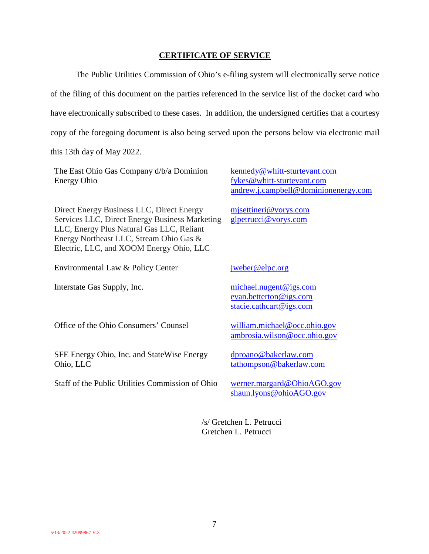### **CERTIFICATE OF SERVICE**

The Public Utilities Commission of Ohio's e-filing system will electronically serve notice of the filing of this document on the parties referenced in the service list of the docket card who have electronically subscribed to these cases. In addition, the undersigned certifies that a courtesy copy of the foregoing document is also being served upon the persons below via electronic mail

this 13th day of May 2022.

| The East Ohio Gas Company d/b/a Dominion<br><b>Energy Ohio</b>                                                                                                                                                                  | kennedy@whitt-sturtevant.com<br>fykes@whitt-sturtevant.com<br>andrew.j.campbell@dominionenergy.com |
|---------------------------------------------------------------------------------------------------------------------------------------------------------------------------------------------------------------------------------|----------------------------------------------------------------------------------------------------|
| Direct Energy Business LLC, Direct Energy<br>Services LLC, Direct Energy Business Marketing<br>LLC, Energy Plus Natural Gas LLC, Reliant<br>Energy Northeast LLC, Stream Ohio Gas &<br>Electric, LLC, and XOOM Energy Ohio, LLC | mjsettineri@vorys.com<br>glpetrucci@vorys.com                                                      |
| Environmental Law & Policy Center                                                                                                                                                                                               | jweber@elpc.org                                                                                    |
| Interstate Gas Supply, Inc.                                                                                                                                                                                                     | michael.nugent@igs.com<br>evan.betterton@igs.com<br>stacie.cathcart@igs.com                        |
| Office of the Ohio Consumers' Counsel                                                                                                                                                                                           | william.michael@occ.ohio.gov<br>ambrosia.wilson@occ.ohio.gov                                       |
| SFE Energy Ohio, Inc. and StateWise Energy<br>Ohio, LLC                                                                                                                                                                         | dproano@bakerlaw.com<br>tathompson@bakerlaw.com                                                    |
| Staff of the Public Utilities Commission of Ohio                                                                                                                                                                                | werner.margard@OhioAGO.gov                                                                         |

/s/ Gretchen L. Petrucci Gretchen L. Petrucci

shaun.lyons@ohioAGO.gov